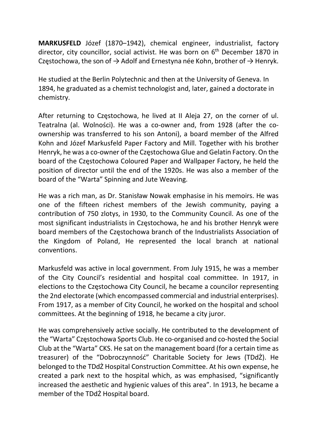MARKUSFELD Józef (1870–1942), chemical engineer, industrialist, factory director, city councillor, social activist. He was born on  $6<sup>th</sup>$  December 1870 in Częstochowa, the son of  $\rightarrow$  Adolf and Ernestyna née Kohn, brother of  $\rightarrow$  Henryk.

He studied at the Berlin Polytechnic and then at the University of Geneva. In 1894, he graduated as a chemist technologist and, later, gained a doctorate in chemistry.

After returning to Częstochowa, he lived at II Aleja 27, on the corner of ul. Teatralna (al. Wolności). He was a co-owner and, from 1928 (after the coownership was transferred to his son Antoni), a board member of the Alfred Kohn and Józef Markusfeld Paper Factory and Mill. Together with his brother Henryk, he was a co-owner of the Częstochowa Glue and Gelatin Factory. On the board of the Częstochowa Coloured Paper and Wallpaper Factory, he held the position of director until the end of the 1920s. He was also a member of the board of the "Warta" Spinning and Jute Weaving.

He was a rich man, as Dr. Stanisław Nowak emphasise in his memoirs. He was one of the fifteen richest members of the Jewish community, paying a contribution of 750 zlotys, in 1930, to the Community Council. As one of the most significant industrialists in Częstochowa, he and his brother Henryk were board members of the Częstochowa branch of the Industrialists Association of the Kingdom of Poland, He represented the local branch at national conventions.

Markusfeld was active in local government. From July 1915, he was a member of the City Council's residential and hospital coal committee. In 1917, in elections to the Częstochowa City Council, he became a councilor representing the 2nd electorate (which encompassed commercial and industrial enterprises). From 1917, as a member of City Council, he worked on the hospital and school committees. At the beginning of 1918, he became a city juror.

He was comprehensively active socially. He contributed to the development of the "Warta" Częstochowa Sports Club. He co-organised and co-hosted the Social Club at the "Warta" CKS. He sat on the management board (for a certain time as treasurer) of the "Dobroczynność" Charitable Society for Jews (TDdŻ). He belonged to the TDdŻ Hospital Construction Committee. At his own expense, he created a park next to the hospital which, as was emphasised, "significantly increased the aesthetic and hygienic values of this area". In 1913, he became a member of the TDdŻ Hospital board.